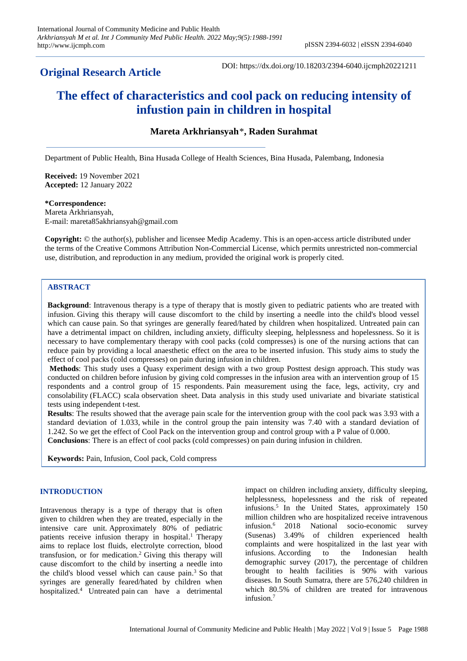# **Original Research Article**

DOI: https://dx.doi.org/10.18203/2394-6040.ijcmph20221211

# **The effect of characteristics and cool pack on reducing intensity of infustion pain in children in hospital**

# **Mareta Arkhriansyah**\***, Raden Surahmat**

Department of Public Health, Bina Husada College of Health Sciences, Bina Husada, Palembang, Indonesia

**Received:** 19 November 2021 **Accepted:** 12 January 2022

#### **\*Correspondence:**

Mareta Arkhriansyah, E-mail: mareta85akhriansyah@gmail.com

**Copyright:** © the author(s), publisher and licensee Medip Academy. This is an open-access article distributed under the terms of the Creative Commons Attribution Non-Commercial License, which permits unrestricted non-commercial use, distribution, and reproduction in any medium, provided the original work is properly cited.

# **ABSTRACT**

**Background**: Intravenous therapy is a type of therapy that is mostly given to pediatric patients who are treated with infusion. Giving this therapy will cause discomfort to the child by inserting a needle into the child's blood vessel which can cause pain. So that syringes are generally feared/hated by children when hospitalized. Untreated pain can have a detrimental impact on children, including anxiety, difficulty sleeping, helplessness and hopelessness. So it is necessary to have complementary therapy with cool packs (cold compresses) is one of the nursing actions that can reduce pain by providing a local anaesthetic effect on the area to be inserted infusion. This study aims to study the effect of cool packs (cold compresses) on pain during infusion in children.

**Methods**: This study uses a Quasy experiment design with a two group Posttest design approach. This study was conducted on children before infusion by giving cold compresses in the infusion area with an intervention group of 15 respondents and a control group of 15 respondents. Pain measurement using the face, legs, activity, cry and consolability (FLACC) scala observation sheet. Data analysis in this study used univariate and bivariate statistical tests using independent t-test*.*

**Results**: The results showed that the average pain scale for the intervention group with the cool pack was 3.93 with a standard deviation of 1.033, while in the control group the pain intensity was 7.40 with a standard deviation of 1.242. So we get the effect of Cool Pack on the intervention group and control group with a P value of 0.000. **Conclusions**: There is an effect of cool packs (cold compresses) on pain during infusion in children.

**Keywords:** Pain, Infusion, Cool pack, Cold compress

# **INTRODUCTION**

Intravenous therapy is a type of therapy that is often given to children when they are treated, especially in the intensive care unit. Approximately 80% of pediatric patients receive infusion therapy in hospital. <sup>1</sup> Therapy aims to replace lost fluids, electrolyte correction, blood transfusion, or for medication. <sup>2</sup> Giving this therapy will cause discomfort to the child by inserting a needle into the child's blood vessel which can cause pain. <sup>3</sup> So that syringes are generally feared/hated by children when hospitalized. <sup>4</sup> Untreated pain can have a detrimental impact on children including anxiety, difficulty sleeping, helplessness, hopelessness and the risk of repeated infusions. 5 In the United States, approximately 150 million children who are hospitalized receive intravenous infusion. <sup>6</sup> 2018 National socio-economic survey (Susenas) 3.49% of children experienced health complaints and were hospitalized in the last year with infusions. According to the Indonesian health demographic survey (2017), the percentage of children brought to health facilities is 90% with various diseases. In South Sumatra, there are 576,240 children in which 80.5% of children are treated for intravenous infusion. 7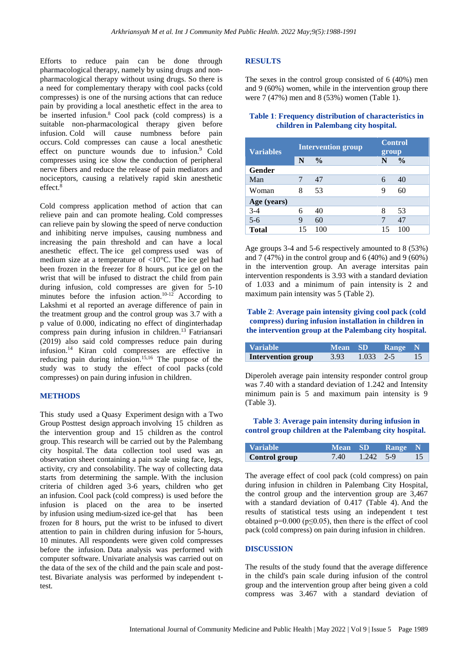Efforts to reduce pain can be done through pharmacological therapy, namely by using drugs and nonpharmacological therapy without using drugs. So there is a need for complementary therapy with cool packs (cold compresses) is one of the nursing actions that can reduce pain by providing a local anesthetic effect in the area to be inserted infusion. <sup>8</sup> Cool pack (cold compress) is a suitable non-pharmacological therapy given before infusion. Cold will cause numbness before pain occurs. Cold compresses can cause a local anesthetic effect on puncture wounds due to infusion. <sup>9</sup> Cold compresses using ice slow the conduction of peripheral nerve fibers and reduce the release of pain mediators and nociceptors, causing a relatively rapid skin anesthetic effect. 8

Cold compress application method of action that can relieve pain and can promote healing. Cold compresses can relieve pain by slowing the speed of nerve conduction and inhibiting nerve impulses, causing numbness and increasing the pain threshold and can have a local anesthetic effect. The ice gel compress used was of medium size at a temperature of <10°C. The ice gel had been frozen in the freezer for 8 hours. put ice gel on the wrist that will be infused to distract the child from pain during infusion, cold compresses are given for 5-10 minutes before the infusion action.<sup>10-12</sup> According to Lakshmi et al reported an average difference of pain in the treatment group and the control group was 3.7 with a p value of 0.000, indicating no effect of dinginterhadap compress pain during infusion in children. <sup>13</sup> Fatriansari (2019) also said cold compresses reduce pain during infusion. <sup>14</sup> Kiran cold compresses are effective in reducing pain during infusion. 15,16 The purpose of the study was to study the effect of cool packs (cold compresses) on pain during infusion in children.

#### **METHODS**

This study used a Quasy Experiment design with a Two Group Posttest design approach involving 15 children as the intervention group and 15 children as the control group. This research will be carried out by the Palembang city hospital. The data collection tool used was an observation sheet containing a pain scale using face, legs, activity, cry and consolability. The way of collecting data starts from determining the sample. With the inclusion criteria of children aged 3-6 years, children who get an infusion. Cool pack (cold compress) is used before the infusion is placed on the area to be inserted by infusion using medium-sized ice-gel that has been frozen for 8 hours, put the wrist to be infused to divert attention to pain in children during infusion for 5-hours, 10 minutes. All respondents were given cold compresses before the infusion. Data analysis was performed with computer software. Univariate analysis was carried out on the data of the sex of the child and the pain scale and posttest. Bivariate analysis was performed by independent ttest.

# **RESULTS**

The sexes in the control group consisted of 6 (40%) men and 9 (60%) women, while in the intervention group there were 7 (47%) men and 8 (53%) women (Table 1).

#### **Table 1**: **Frequency distribution of characteristics in children in Palembang city hospital.**

| <b>Variables</b> | <b>Intervention group</b> |               | <b>Control</b><br>group |               |
|------------------|---------------------------|---------------|-------------------------|---------------|
|                  | N                         | $\frac{6}{9}$ | N                       | $\frac{0}{0}$ |
| Gender           |                           |               |                         |               |
| Man              | 7                         | 47            | 6                       | 40            |
| Woman            | 8                         | 53            | 9                       | 60            |
| Age (years)      |                           |               |                         |               |
| $3 - 4$          | 6                         | 40            | 8                       | 53            |
| $5 - 6$          | 9                         | 60            |                         | 47            |
| <b>Total</b>     | 15                        | 100           | 15                      |               |

Age groups 3-4 and 5-6 respectively amounted to 8 (53%) and 7 (47%) in the control group and 6 (40%) and 9 (60%) in the intervention group. An average intersitas pain intervention respondents is 3.93 with a standard deviation of 1.033 and a minimum of pain intensity is 2 and maximum pain intensity was 5 (Table 2).

# **Table 2**: **Average pain intensity giving cool pack (cold compress) during infusion installation in children in the intervention group at the Palembang city hospital.**

| Variable           | <b>Mean</b> SD |             | <b>Range</b> N |       |
|--------------------|----------------|-------------|----------------|-------|
| Intervention group | 3.93           | $1.033$ 2-5 |                | $-15$ |

Diperoleh average pain intensity responder control group was 7.40 with a standard deviation of 1.242 and Intensity minimum pain is 5 and maximum pain intensity is 9 (Table 3).

# **Table 3**: **Average pain intensity during infusion in control group children at the Palembang city hospital.**

| <b>Variable</b> | Mean SD |                   | <b>Range</b> N |  |
|-----------------|---------|-------------------|----------------|--|
| Control group   | 7.40    | $1.242 \quad 5-9$ |                |  |

The average effect of cool pack (cold compress) on pain during infusion in children in Palembang City Hospital, the control group and the intervention group are 3,467 with a standard deviation of 0.417 (Table 4). And the results of statistical tests using an independent t test obtained  $p=0.000$  ( $p\leq 0.05$ ), then there is the effect of cool pack (cold compress) on pain during infusion in children.

# **DISCUSSION**

The results of the study found that the average difference in the child's pain scale during infusion of the control group and the intervention group after being given a cold compress was 3.467 with a standard deviation of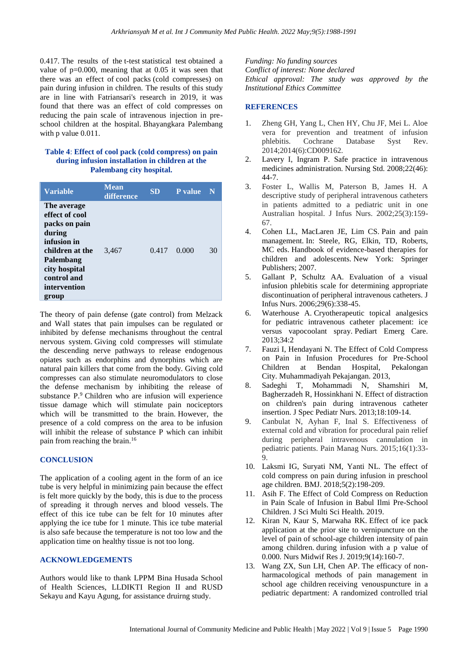0.417. The results of the t-test statistical test obtained a value of p=0.000, meaning that at 0.05 it was seen that there was an effect of cool packs (cold compresses) on pain during infusion in children. The results of this study are in line with Fatriansari's research in 2019, it was found that there was an effect of cold compresses on reducing the pain scale of intravenous injection in preschool children at the hospital. Bhayangkara Palembang with p value 0.011.

#### **Table 4**: **Effect of cool pack (cold compress) on pain during infusion installation in children at the Palembang city hospital.**

| <b>Variable</b>                                                                                                                                                  | <b>Mean</b><br>difference | <b>SD</b> | <b>P</b> value | N  |
|------------------------------------------------------------------------------------------------------------------------------------------------------------------|---------------------------|-----------|----------------|----|
| The average<br>effect of cool<br>packs on pain<br>during<br>infusion in<br>children at the<br>Palembang<br>city hospital<br>control and<br>intervention<br>group | 3,467                     | 0.417     | 0.000          | 30 |

The theory of pain defense (gate control) from Melzack and Wall states that pain impulses can be regulated or inhibited by defense mechanisms throughout the central nervous system. Giving cold compresses will stimulate the descending nerve pathways to release endogenous opiates such as endorphins and dynorphins which are natural pain killers that come from the body. Giving cold compresses can also stimulate neuromodulators to close the defense mechanism by inhibiting the release of substance P.<sup>9</sup> Children who are infusion will experience tissue damage which will stimulate pain nociceptors which will be transmitted to the brain. However, the presence of a cold compress on the area to be infusion will inhibit the release of substance P which can inhibit pain from reaching the brain.<sup>16</sup>

# **CONCLUSION**

The application of a cooling agent in the form of an ice tube is very helpful in minimizing pain because the effect is felt more quickly by the body, this is due to the process of spreading it through nerves and blood vessels. The effect of this ice tube can be felt for 10 minutes after applying the ice tube for 1 minute. This ice tube material is also safe because the temperature is not too low and the application time on healthy tissue is not too long.

# **ACKNOWLEDGEMENTS**

Authors would like to thank LPPM Bina Husada School of Health Sciences, LLDIKTI Region II and RUSD Sekayu and Kayu Agung, for assistance druirng study.

*Funding: No funding sources Conflict of interest: None declared Ethical approval: The study was approved by the Institutional Ethics Committee*

# **REFERENCES**

- 1. Zheng GH, Yang L, Chen HY, Chu JF, Mei L. Aloe vera for prevention and treatment of infusion phlebitis. Cochrane Database Syst Rev. 2014;2014(6):CD009162.
- 2. Lavery I, Ingram P. Safe practice in intravenous medicines administration. Nursing Std. 2008;22(46): 44-7.
- 3. Foster L, Wallis M, Paterson B, James H. A descriptive study of peripheral intravenous catheters in patients admitted to a pediatric unit in one Australian hospital. J Infus Nurs. 2002;25(3):159- 67.
- 4. Cohen LL, MacLaren JE, Lim CS. Pain and pain management. In: Steele, RG, Elkin, TD, Roberts, MC eds. Handbook of evidence-based therapies for children and adolescents. New York: Springer Publishers; 2007.
- 5. Gallant P, Schultz AA. Evaluation of a visual infusion phlebitis scale for determining appropriate discontinuation of peripheral intravenous catheters. J Infus Nurs. 2006;29(6):338-45.
- 6. Waterhouse A. Cryotherapeutic topical analgesics for pediatric intravenous catheter placement: ice versus vapocoolant spray. Pediart Emerg Care. 2013;34:2
- 7. Fauzi I, Hendayani N. The Effect of Cold Compress on Pain in Infusion Procedures for Pre-School Children at Bendan Hospital, Pekalongan City. Muhammadiyah Pekajangan. 2013,
- 8. Sadeghi T, Mohammadi N, Shamshiri M, Bagherzadeh R, Hossinkhani N. Effect of distraction on children's pain during intravenous catheter insertion. J Spec Pediatr Nurs. 2013;18:109-14.
- 9. Canbulat N, Ayhan F, Inal S. Effectiveness of external cold and vibration for procedural pain relief during peripheral intravenous cannulation in pediatric patients. Pain Manag Nurs. 2015;16(1):33- 9.
- 10. Laksmi IG, Suryati NM, Yanti NL. The effect of cold compress on pain during infusion in preschool age children. BMJ. 2018;5(2):198-209.
- 11. Asih F. The Effect of Cold Compress on Reduction in Pain Scale of Infusion in Babul Ilmi Pre-School Children. J Sci Multi Sci Health. 2019.
- 12. Kiran N, Kaur S, Marwaha RK. Effect of ice pack application at the prior site to vernipuncture on the level of pain of school-age children intensity of pain among children. during infusion with a p value of 0.000. Nurs Midwif Res J. 2019;9(14):160-7.
- 13. Wang ZX, Sun LH, Chen AP. The efficacy of nonharmacological methods of pain management in school age children receiving venouspuncture in a pediatric department: A randomized controlled trial